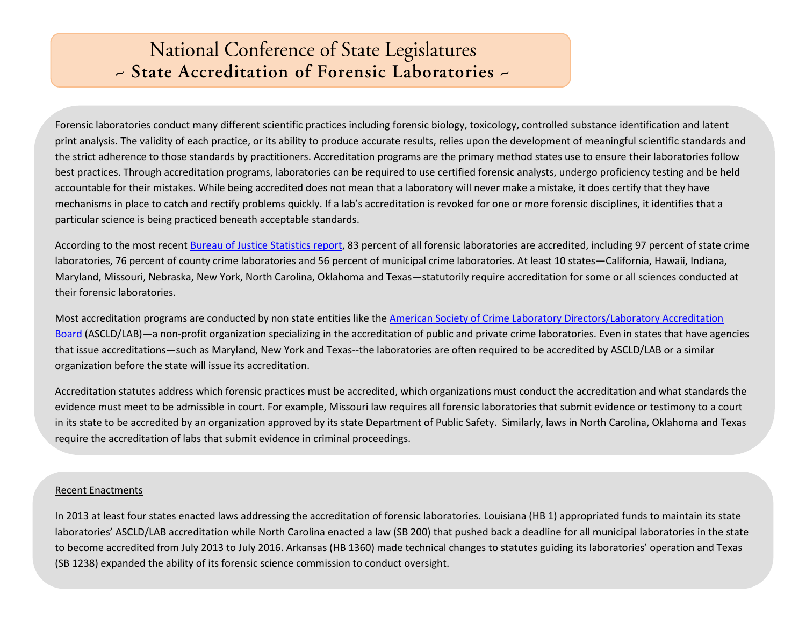## **National Conference of State Legislatures** - State Accreditation of Forensic Laboratories -

Forensic laboratories conduct many different scientific practices including forensic biology, toxicology, controlled substance identification and latent print analysis. The validity of each practice, or its ability to produce accurate results, relies upon the development of meaningful scientific standards and the strict adherence to those standards by practitioners. Accreditation programs are the primary method states use to ensure their laboratories follow best practices. Through accreditation programs, laboratories can be required to use certified forensic analysts, undergo proficiency testing and be held accountable for their mistakes. While being accredited does not mean that a laboratory will never make a mistake, it does certify that they have mechanisms in place to catch and rectify problems quickly. If a lab's accreditation is revoked for one or more forensic disciplines, it identifies that a particular science is being practiced beneath acceptable standards.

According to the most recent [Bureau of Justice Statistics report,](http://www.bjs.gov/index.cfm?ty=pbdetail&iid=4412) 83 percent of all forensic laboratories are accredited, including 97 percent of state crime laboratories, 76 percent of county crime laboratories and 56 percent of municipal crime laboratories. At least 10 states—California, Hawaii, Indiana, Maryland, Missouri, Nebraska, New York, North Carolina, Oklahoma and Texas—statutorily require accreditation for some or all sciences conducted at their forensic laboratories.

Most accreditation programs are conducted by non state entities like the American Society of Crime Laboratory Directors/Laboratory Accreditation [Board](http://www.ascld-lab.org/) (ASCLD/LAB)—a non-profit organization specializing in the accreditation of public and private crime laboratories. Even in states that have agencies that issue accreditations—such as Maryland, New York and Texas--the laboratories are often required to be accredited by ASCLD/LAB or a similar organization before the state will issue its accreditation.

Accreditation statutes address which forensic practices must be accredited, which organizations must conduct the accreditation and what standards the evidence must meet to be admissible in court. For example, Missouri law requires all forensic laboratories that submit evidence or testimony to a court in its state to be accredited by an organization approved by its state Department of Public Safety. Similarly, laws in North Carolina, Oklahoma and Texas require the accreditation of labs that submit evidence in criminal proceedings.

## Recent Enactments

In 2013 at least four states enacted laws addressing the accreditation of forensic laboratories. Louisiana (HB 1) appropriated funds to maintain its state laboratories' ASCLD/LAB accreditation while North Carolina enacted a law (SB 200) that pushed back a deadline for all municipal laboratories in the state to become accredited from July 2013 to July 2016. Arkansas (HB 1360) made technical changes to statutes guiding its laboratories' operation and Texas (SB 1238) expanded the ability of its forensic science commission to conduct oversight.